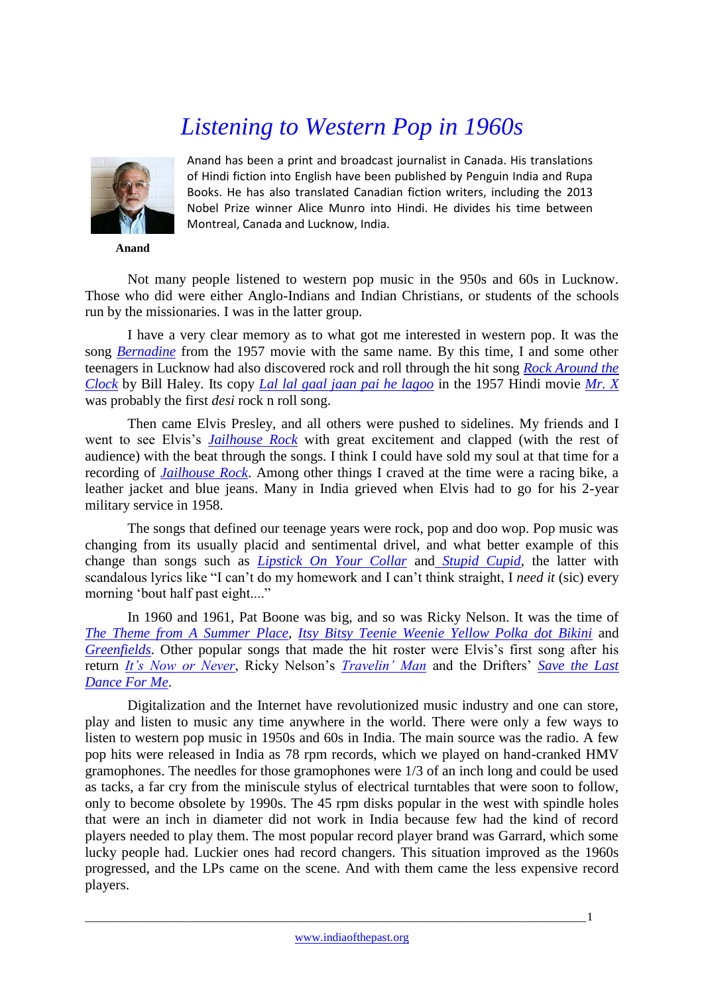## *Listening to Western Pop in 1960s*



**Anand**

Anand has been a print and broadcast journalist in Canada. His translations of Hindi fiction into English have been published by Penguin India and Rupa Books. He has also translated Canadian fiction writers, including the 2013 Nobel Prize winner Alice Munro into Hindi. He divides his time between Montreal, Canada and Lucknow, India.

Not many people listened to western pop music in the 950s and 60s in Lucknow. Those who did were either Anglo-Indians and Indian Christians, or students of the schools run by the missionaries. I was in the latter group.

I have a very clear memory as to what got me interested in western pop. It was the song *[Bernadine](http://www.youtube.com/watch?v=HFZ3Ed0vHEo)* from the 1957 movie with the same name. By this time, I and some other teenagers in Lucknow had also discovered rock and roll through the hit song *[Rock Around the](http://www.youtube.com/watch?v=F5fsqYctXgM)  [Clock](http://www.youtube.com/watch?v=F5fsqYctXgM)* by Bill Haley. Its copy *[Lal lal gaal jaan pai he lagoo](http://www.youtube.com/watch?v=uAY9qTLgX5k)* in the 1957 Hindi movie *[Mr. X](http://www.imdb.com/title/tt0156809/)* was probably the first *desi* rock n roll song.

Then came Elvis Presley, and all others were pushed to sidelines. My friends and I went to see Elvis's *[Jailhouse Rock](http://www.imdb.com/title/tt0050556/)* with great excitement and clapped (with the rest of audience) with the beat through the songs. I think I could have sold my soul at that time for a recording of *[Jailhouse Rock](http://www.youtube.com/watch?v=gj0Rz-uP4Mk)*. Among other things I craved at the time were a racing bike, a leather jacket and blue jeans. Many in India grieved when Elvis had to go for his 2-year military service in 1958.

The songs that defined our teenage years were rock, pop and doo wop. Pop music was changing from its usually placid and sentimental drivel, and what better example of this change than songs such as *[Lipstick On Your Collar](http://www.youtube.com/watch?v=BaXzeQoWTko)* and *[Stupid Cupid,](http://www.youtube.com/watch?v=XJ0cxUQkS6w)* the latter with scandalous lyrics like "I can't do my homework and I can't think straight, I *need it* (sic) every morning 'bout half past eight...."

In 1960 and 1961, Pat Boone was big, and so was Ricky Nelson. It was the time of *[The Theme from A](http://www.youtube.com/watch?v=BaXzeQoWTko) Summer Place, [Itsy Bitsy Teenie Weenie Yellow Polka dot Bikini](http://www.youtube.com/watch?v=ge9Ou3-YyqU)* and *[Greenfields](http://www.youtube.com/watch?v=46o1joHp7t0)*. Other popular songs that made the hit roster were Elvis's first song after his return *[It's Now or Never](http://www.youtube.com/watch?v=QkMVscR5YOo)*, Ricky Nelson's *[Travelin' Man](http://www.youtube.com/watch?v=0janfcZ8LUw)* and the Drifters' *[Save the Last](http://www.youtube.com/watch?v=n-XQ26KePUQ)  [Dance For Me](http://www.youtube.com/watch?v=n-XQ26KePUQ)*.

Digitalization and the Internet have revolutionized music industry and one can store, play and listen to music any time anywhere in the world. There were only a few ways to listen to western pop music in 1950s and 60s in India. The main source was the radio. A few pop hits were released in India as 78 rpm records, which we played on hand-cranked HMV gramophones. The needles for those gramophones were 1/3 of an inch long and could be used as tacks, a far cry from the miniscule stylus of electrical turntables that were soon to follow, only to become obsolete by 1990s. The 45 rpm disks popular in the west with spindle holes that were an inch in diameter did not work in India because few had the kind of record players needed to play them. The most popular record player brand was Garrard, which some lucky people had. Luckier ones had record changers. This situation improved as the 1960s progressed, and the LPs came on the scene. And with them came the less expensive record players.

\_\_\_\_\_\_\_\_\_\_\_\_\_\_\_\_\_\_\_\_\_\_\_\_\_\_\_\_\_\_\_\_\_\_\_\_\_\_\_\_\_\_\_\_\_\_\_\_\_\_\_\_\_\_\_\_\_\_\_\_\_\_\_\_\_\_\_\_\_\_\_\_\_\_\_\_\_\_\_\_\_\_\_\_\_1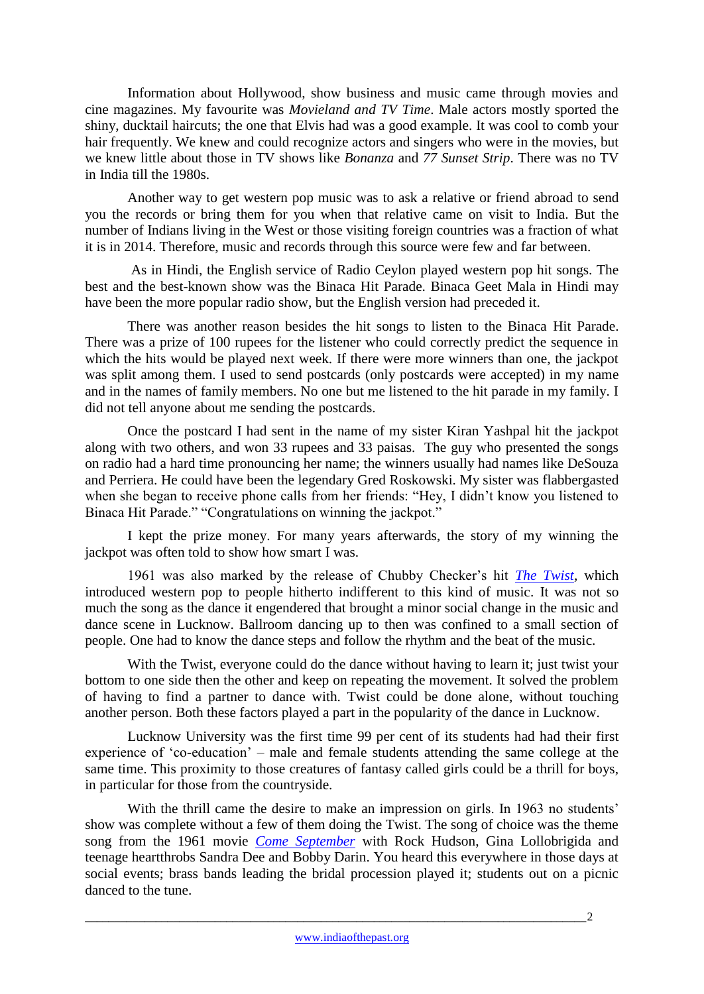Information about Hollywood, show business and music came through movies and cine magazines. My favourite was *Movieland and TV Time*. Male actors mostly sported the shiny, ducktail haircuts; the one that Elvis had was a good example. It was cool to comb your hair frequently. We knew and could recognize actors and singers who were in the movies, but we knew little about those in TV shows like *Bonanza* and *77 Sunset Strip*. There was no TV in India till the 1980s.

Another way to get western pop music was to ask a relative or friend abroad to send you the records or bring them for you when that relative came on visit to India. But the number of Indians living in the West or those visiting foreign countries was a fraction of what it is in 2014. Therefore, music and records through this source were few and far between.

As in Hindi, the English service of Radio Ceylon played western pop hit songs. The best and the best-known show was the Binaca Hit Parade. Binaca Geet Mala in Hindi may have been the more popular radio show, but the English version had preceded it.

There was another reason besides the hit songs to listen to the Binaca Hit Parade. There was a prize of 100 rupees for the listener who could correctly predict the sequence in which the hits would be played next week. If there were more winners than one, the jackpot was split among them. I used to send postcards (only postcards were accepted) in my name and in the names of family members. No one but me listened to the hit parade in my family. I did not tell anyone about me sending the postcards.

Once the postcard I had sent in the name of my sister Kiran Yashpal hit the jackpot along with two others, and won 33 rupees and 33 paisas. The guy who presented the songs on radio had a hard time pronouncing her name; the winners usually had names like DeSouza and Perriera. He could have been the legendary Gred Roskowski. My sister was flabbergasted when she began to receive phone calls from her friends: "Hey, I didn't know you listened to Binaca Hit Parade." "Congratulations on winning the jackpot."

I kept the prize money. For many years afterwards, the story of my winning the jackpot was often told to show how smart I was.

1961 was also marked by the release of Chubby Checker's hit *[The Twist,](http://www.youtube.com/watch?v=xbK0C9AYMd8)* which introduced western pop to people hitherto indifferent to this kind of music*.* It was not so much the song as the dance it engendered that brought a minor social change in the music and dance scene in Lucknow. Ballroom dancing up to then was confined to a small section of people. One had to know the dance steps and follow the rhythm and the beat of the music.

With the Twist, everyone could do the dance without having to learn it; just twist your bottom to one side then the other and keep on repeating the movement. It solved the problem of having to find a partner to dance with. Twist could be done alone, without touching another person. Both these factors played a part in the popularity of the dance in Lucknow.

Lucknow University was the first time 99 per cent of its students had had their first experience of 'co-education' – male and female students attending the same college at the same time. This proximity to those creatures of fantasy called girls could be a thrill for boys, in particular for those from the countryside.

With the thrill came the desire to make an impression on girls. In 1963 no students' show was complete without a few of them doing the Twist. The song of choice was the theme song from the 1961 movie *[Come September](http://www.youtube.com/watch?v=M6ymry70v2Y)* with Rock Hudson, Gina Lollobrigida and teenage heartthrobs Sandra Dee and Bobby Darin. You heard this everywhere in those days at social events; brass bands leading the bridal procession played it; students out on a picnic danced to the tune.